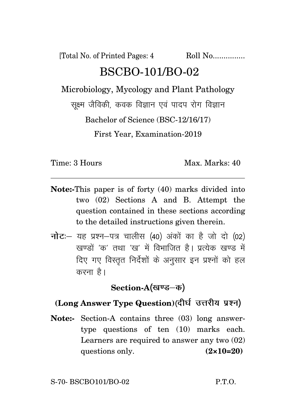[Total No. of Printed Pages: 4 Roll No................. BSCBO-101/BO-02 Microbiology, Mycology and Plant Pathology

सूक्ष्म जैविकी, कवक विज्ञान एवं पादप रोग विज्ञान

Bachelor of Science (BSC-12/16/17)

First Year, Examination-2019

Time: 3 Hours Max. Max. Marks: 40

- **Note:-**This paper is of forty (40) marks divided into two (02) Sections A and B. Attempt the question contained in these sections according to the detailed instructions given therein.
- **नोट:** यह प्रश्न-पत्र चालीस (40) अंकों का है जो दो (02) खण्डों 'क' तथा 'ख' में विभाजित है। प्रत्येक खण्ड में दिए गए विस्तुत निर्देशों के अनुसार इन प्रश्नों को हल करना $\hat{g}$ ।

Section-A(खण्ड–क)

## **(Long Answer Type Question)**(दीर्घ उत्तरीय प्रश्न)

**Note:-** Section-A contains three (03) long answertype questions of ten (10) marks each. Learners are required to answer any two (02) questions only. **(2×10=20)**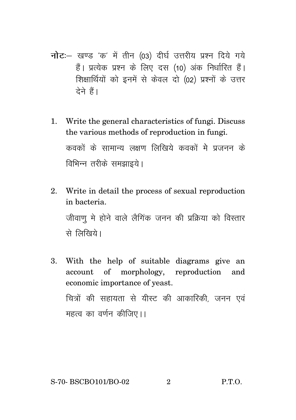- नोट: खण्ड 'क' में तीन (03) दीर्घ उत्तरीय प्रश्न दिये गये हैं। प्रत्येक प्रश्न के लिए दस (10) अंक निर्धारित हैं। शिक्षार्थियों को इनमें से केवल दो (02) प्रश्नों के उत्तर टेने हैं।
- Write the general characteristics of fungi. Discuss  $1_{-}$ the various methods of reproduction in fungi. कवकों के सामान्य लक्षण लिखिये कवकों मे प्रजनन के विभिन्न तरीके समझाइये।
- 2. Write in detail the process of sexual reproduction in bacteria. जीवाण मे होने वाले लैगिंक जनन की प्रक्रिया को विस्तार से लिखिये।
- 3. With the help of suitable diagrams give an account of morphology, reproduction and economic importance of yeast. चित्रों की सहायता से यीस्ट की आकारिकी, जनन एवं महत्व का वर्णन कीजिए।।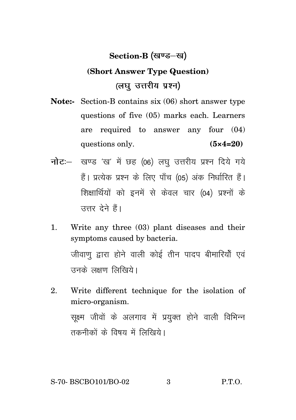## **Section-B** (खण्ड–ख)

## **(Short Answer Type Question)** *(लघ उत्तरीय प्रश्न)*

- **Note:-** Section-B contains six (06) short answer type questions of five (05) marks each. Learners are required to answer any four (04) questions only. **(5×4=20)**
- **नोट**: खण्ड 'ख' में छह (06) लघु उत्तरीय प्रश्न दिये गये हैं। प्रत्येक प्रश्न के लिए पाँच (05) अंक निर्धारित हैं। शिक्षार्थियों को इनमें से केवल चार (04) प्रश्नों के उत्तर देने हैं।
- 1. Write any three (03) plant diseases and their symptoms caused by bacteria. जीवाण द्वारा होने वाली कोई तीन पादप बीमारियों एवं  $\overrightarrow{R}$ त्त्रस्रे लक्षण लिखिये ।
- 2. Write different technique for the isolation of micro-organism. सक्ष्म जीवों के अलगाव में प्रयक्त होने वाली विभिन्न तकनीकों के विषय में लिखिये।